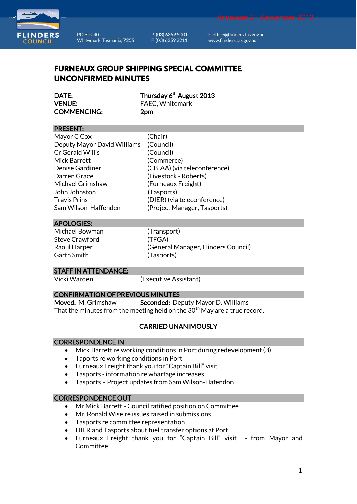



PO Box 40 Whitemark, Tasmania, 7255 P (03) 6359 5001 F (03) 6359 2211

E office@flinders.tas.gov.au www.flinders.tas.gov.au

# **FURNEAUX GROUP SHIPPING SPECIAL COMMITTEE UNCONFIRMED MINUTES**

| DATE:              | Thursday 6 <sup>th</sup> August 2013 |
|--------------------|--------------------------------------|
| <b>VENUE:</b>      | FAEC, Whitemark                      |
| <b>COMMENCING:</b> | 2 <sub>pm</sub>                      |

#### PRESENT:

| Mayor C Cox                 | (Chair)                      |
|-----------------------------|------------------------------|
| Deputy Mayor David Williams | (Council)                    |
| Cr Gerald Willis            | (Council)                    |
| Mick Barrett                | (Commerce)                   |
| Denise Gardiner             | (CBIAA) (via teleconference) |
| Darren Grace                | (Livestock - Roberts)        |
| Michael Grimshaw            | (Furneaux Freight)           |
| John Johnston               | (Tasports)                   |
| <b>Travis Prins</b>         | (DIER) (via teleconference)  |
| Sam Wilson-Haffenden        | (Project Manager, Tasports)  |

#### APOLOGIES:

Michael Bowman (Transport) Steve Crawford (TFGA) Garth Smith (Tasports)

Raoul Harper (General Manager, Flinders Council)

#### STAFF IN ATTENDANCE:

Vicki Warden (Executive Assistant)

## CONFIRMATION OF PREVIOUS MINUTES

Moved: M. Grimshaw Seconded: Deputy Mayor D. Williams That the minutes from the meeting held on the  $30<sup>th</sup>$  May are a true record.

# CARRIED UNANIMOUSLY

#### CORRESPONDENCE IN

- Mick Barrett re working conditions in Port during redevelopment (3)
- Taports re working conditions in Port
- Furneaux Freight thank you for "Captain Bill" visit
- Tasports information re wharfage increases
- Tasports Project updates from Sam Wilson-Hafendon

## CORRESPONDENCE OUT

- Mr Mick Barrett Council ratified position on Committee
- Mr. Ronald Wise re issues raised in submissions
- Tasports re committee representation
- DIER and Tasports about fuel transfer options at Port
- Furneaux Freight thank you for "Captain Bill" visit from Mayor and **Committee**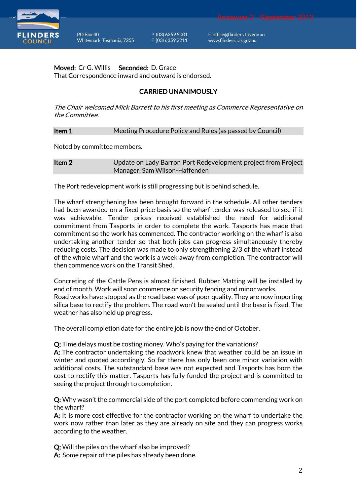

P (03) 6359 5001 F (03) 6359 2211

E office@flinders.tas.gov.au www.flinders.tas.gov.au

Annexure 2 - September 2013

Moved: Cr G. Willis Seconded: D. Grace That Correspondence inward and outward is endorsed.

# CARRIED UNANIMOUSLY

The Chair welcomed Mick Barrett to his first meeting as Commerce Representative on the Committee.

**Item 1** Meeting Procedure Policy and Rules (as passed by Council)

Noted by committee members.

**Item 2** Update on Lady Barron Port Redevelopment project from Project Manager, Sam Wilson-Haffenden

The Port redevelopment work is still progressing but is behind schedule.

The wharf strengthening has been brought forward in the schedule. All other tenders had been awarded on a fixed price basis so the wharf tender was released to see if it was achievable. Tender prices received established the need for additional commitment from Tasports in order to complete the work. Tasports has made that commitment so the work has commenced. The contractor working on the wharf is also undertaking another tender so that both jobs can progress simultaneously thereby reducing costs. The decision was made to only strengthening 2/3 of the wharf instead of the whole wharf and the work is a week away from completion. The contractor will then commence work on the Transit Shed.

Concreting of the Cattle Pens is almost finished. Rubber Matting will be installed by end of month. Work will soon commence on security fencing and minor works. Road works have stopped as the road base was of poor quality. They are now importing silica base to rectify the problem. The road won't be sealed until the base is fixed. The weather has also held up progress.

The overall completion date for the entire job is now the end of October.

Q: Time delays must be costing money. Who's paying for the variations?

A: The contractor undertaking the roadwork knew that weather could be an issue in winter and quoted accordingly. So far there has only been one minor variation with additional costs. The substandard base was not expected and Tasports has born the cost to rectify this matter. Tasports has fully funded the project and is committed to seeing the project through to completion.

Q: Why wasn't the commercial side of the port completed before commencing work on the wharf?

A: It is more cost effective for the contractor working on the wharf to undertake the work now rather than later as they are already on site and they can progress works according to the weather.

Q: Will the piles on the wharf also be improved?

A: Some repair of the piles has already been done.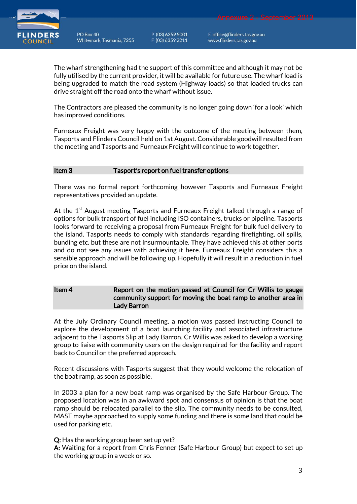

PO Box 40 Whitemark, Tasmania, 7255 P (03) 6359 5001 F (03) 6359 2211

E office@flinders.tas.gov.au www.flinders.tas.gov.au

The wharf strengthening had the support of this committee and although it may not be fully utilised by the current provider, it will be available for future use. The wharf load is being upgraded to match the road system (Highway loads) so that loaded trucks can drive straight off the road onto the wharf without issue.

The Contractors are pleased the community is no longer going down 'for a look' which has improved conditions.

Furneaux Freight was very happy with the outcome of the meeting between them, Tasports and Flinders Council held on 1st August. Considerable goodwill resulted from the meeting and Tasports and Furneaux Freight will continue to work together.

## Item 3 Tasport's report on fuel transfer options

There was no formal report forthcoming however Tasports and Furneaux Freight representatives provided an update.

At the 1<sup>st</sup> August meeting Tasports and Furneaux Freight talked through a range of options for bulk transport of fuel including ISO containers, trucks or pipeline. Tasports looks forward to receiving a proposal from Furneaux Freight for bulk fuel delivery to the island. Tasports needs to comply with standards regarding firefighting, oil spills, bunding etc. but these are not insurmountable. They have achieved this at other ports and do not see any issues with achieving it here. Furneaux Freight considers this a sensible approach and will be following up. Hopefully it will result in a reduction in fuel price on the island.

Item 4 Report on the motion passed at Council for Cr Willis to gauge community support for moving the boat ramp to another area in Lady Barron

At the July Ordinary Council meeting, a motion was passed instructing Council to explore the development of a boat launching facility and associated infrastructure adjacent to the Tasports Slip at Lady Barron. Cr Willis was asked to develop a working group to liaise with community users on the design required for the facility and report back to Council on the preferred approach.

Recent discussions with Tasports suggest that they would welcome the relocation of the boat ramp, as soon as possible.

In 2003 a plan for a new boat ramp was organised by the Safe Harbour Group. The proposed location was in an awkward spot and consensus of opinion is that the boat ramp should be relocated parallel to the slip. The community needs to be consulted, MAST maybe approached to supply some funding and there is some land that could be used for parking etc.

Q: Has the working group been set up yet?

A: Waiting for a report from Chris Fenner (Safe Harbour Group) but expect to set up the working group in a week or so.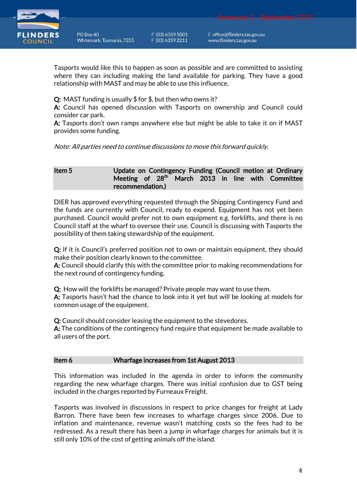

PO Box 40 Whitemark, Tasmania, 7255 P (03) 6359 5001 F (03) 6359 2211

E office@flinders.tas.gov.au www.flinders.tas.gov.au

Tasports would like this to happen as soon as possible and are committed to assisting where they can including making the land available for parking. They have a good relationship with MAST and may be able to use this influence.

Q: MAST funding is usually \$ for \$, but then who owns it?

A: Council has opened discussion with Tasports on ownership and Council could consider car park.

A: Tasports don't own ramps anywhere else but might be able to take it on if MAST provides some funding.

Note: All parties need to continue discussions to move this forward quickly.

## Item 5 Update on Contingency Funding (Council motion at Ordinary Meeting of 28<sup>th</sup> March 2013 in line with Committee recommendation.)

DIER has approved everything requested through the Shipping Contingency Fund and the funds are currently with Council, ready to expend. Equipment has not yet been purchased. Council would prefer not to own equipment e.g. forklifts, and there is no Council staff at the wharf to oversee their use. Council is discussing with Tasports the possibility of them taking stewardship of the equipment.

Q: If it is Council's preferred position not to own or maintain equipment, they should make their position clearly known to the committee.

A: Council should clarify this with the committee prior to making recommendations for the next round of contingency funding.

Q: How will the forklifts be managed? Private people may want to use them. A: Tasports hasn't had the chance to look into it yet but will be looking at models for

common usage of the equipment.

Q: Council should consider leasing the equipment to the stevedores.

A: The conditions of the contingency fund require that equipment be made available to all users of the port.

#### Item 6 Wharfage increases from 1st August 2013

This information was included in the agenda in order to inform the community regarding the new wharfage charges. There was initial confusion due to GST being included in the charges reported by Furneaux Freight.

Tasports was involved in discussions in respect to price changes for freight at Lady Barron. There have been few increases to wharfage charges since 2006. Due to inflation and maintenance, revenue wasn't matching costs so the fees had to be redressed. As a result there has been a jump in wharfage charges for animals but it is still only 10% of the cost of getting animals off the island.